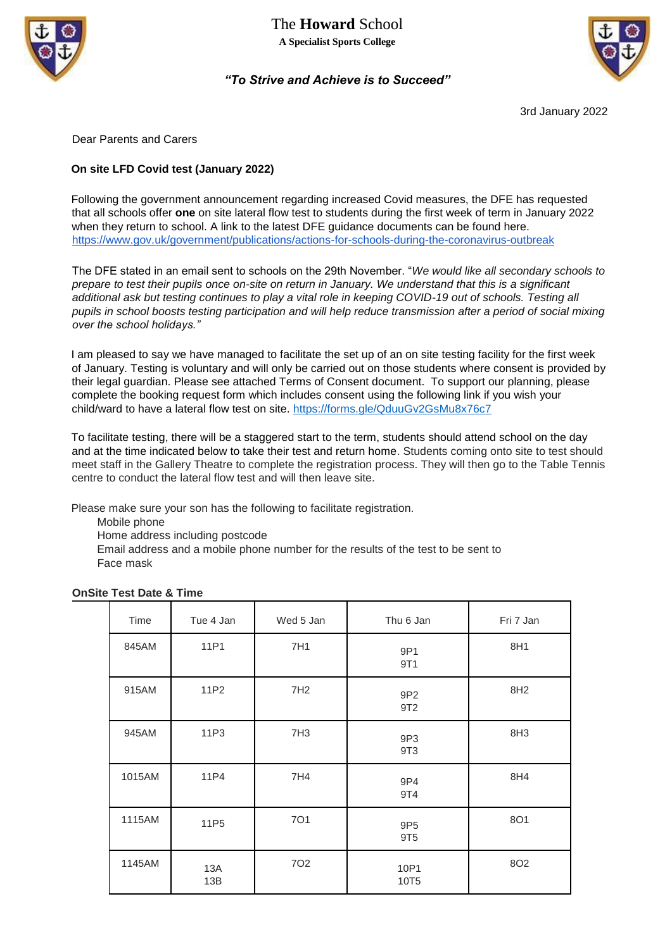



## *"To Strive and Achieve is to Succeed"*

3rd January 2022

Dear Parents and Carers

## **On site LFD Covid test (January 2022)**

Following the government announcement regarding increased Covid measures, the DFE has requested that all schools offer **one** on site lateral flow test to students during the first week of term in January 2022 when they return to school. A link to the latest DFE guidance documents can be found here. <https://www.gov.uk/government/publications/actions-for-schools-during-the-coronavirus-outbreak>

The DFE stated in an email sent to schools on the 29th November. "*We would like all secondary schools to prepare to test their pupils once on-site on return in January. We understand that this is a significant additional ask but testing continues to play a vital role in keeping COVID-19 out of schools. Testing all pupils in school boosts testing participation and will help reduce transmission after a period of social mixing over the school holidays."* 

I am pleased to say we have managed to facilitate the set up of an on site testing facility for the first week of January. Testing is voluntary and will only be carried out on those students where consent is provided by their legal guardian. Please see attached Terms of Consent document. To support our planning, please complete the booking request form which includes consent using the following link if you wish your child/ward to have a lateral flow test on site.<https://forms.gle/QduuGv2GsMu8x76c7>

To facilitate testing, there will be a staggered start to the term, students should attend school on the day and at the time indicated below to take their test and return home. Students coming onto site to test should meet staff in the Gallery Theatre to complete the registration process. They will then go to the Table Tennis centre to conduct the lateral flow test and will then leave site.

Please make sure your son has the following to facilitate registration.

Mobile phone

Home address including postcode

Email address and a mobile phone number for the results of the test to be sent to Face mask

| Time   | Tue 4 Jan        | Wed 5 Jan       | Thu 6 Jan                          | Fri 7 Jan       |
|--------|------------------|-----------------|------------------------------------|-----------------|
| 845AM  | 11P1             | 7H1             | 9P1<br>9T1                         | 8H1             |
| 915AM  | 11P2             | 7H <sub>2</sub> | 9P <sub>2</sub><br>9T <sub>2</sub> | 8H <sub>2</sub> |
| 945AM  | 11P3             | 7H3             | 9P3<br>9T3                         | 8H <sub>3</sub> |
| 1015AM | 11P4             | 7H4             | 9P4<br>9T4                         | 8H4             |
| 1115AM | 11P <sub>5</sub> | <b>701</b>      | 9P <sub>5</sub><br>9T <sub>5</sub> | <b>8O1</b>      |
| 1145AM | 13A<br>13B       | 702             | 10P1<br>10T <sub>5</sub>           | <b>8O2</b>      |

## **OnSite Test Date & Time**